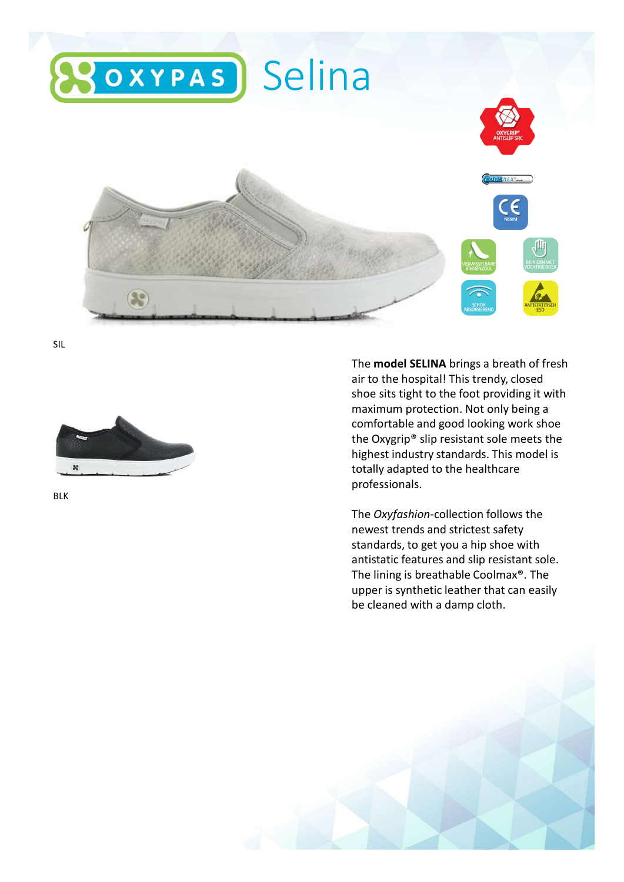

SIL



BLK

The model SELINA brings a breath of fresh air to the hospital! This trendy, closed shoe sits tight to the foot providing it with maximum protection. Not only being a comfortable and good looking work shoe the Oxygrip® slip resistant sole meets the highest industry standards. This model is totally adapted to the healthcare professionals.

The Oxyfashion-collection follows the newest trends and strictest safety standards, to get you a hip shoe with antistatic features and slip resistant sole. The lining is breathable Coolmax®. The upper is synthetic leather that can easily be cleaned with a damp cloth.